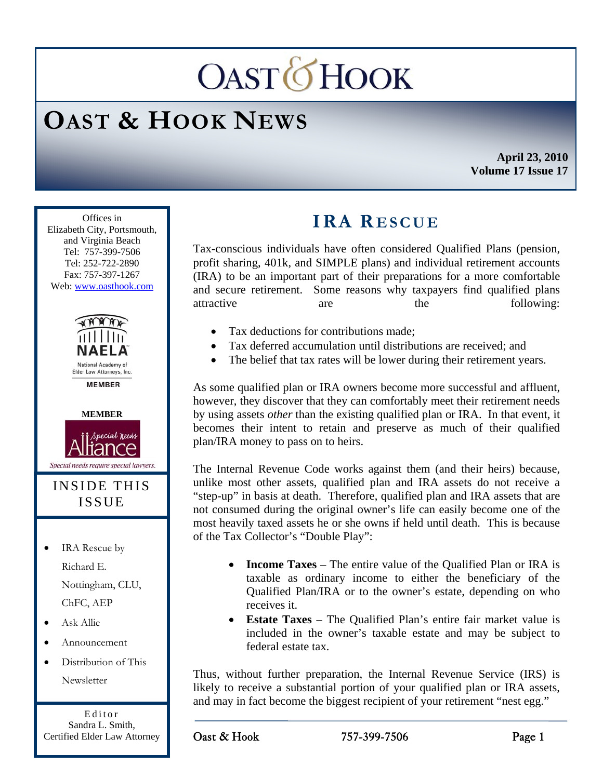# **OASTOHOOK**

## **OAST & HOOK NEWS**

**April 23, 2010 Volume 17 Issue 17** 

Ī Offices in Elizabeth City, Portsmouth, and Virginia Beach Tel: 757-399-7506 Tel: 252-722-2890 Fax: 757-397-1267 Web: www.oasthook.com





#### INSIDE THIS ISSUE

• IRA Rescue by Richard E. Nottingham, CLU, ChFC, AEP

- Ask Allie
- Announcement
- Distribution of This Newsletter

Editor Sandra L. Smith, Certified Elder Law Attorney

### **IRA RESCUE**

Tax-conscious individuals have often considered Qualified Plans (pension, profit sharing, 401k, and SIMPLE plans) and individual retirement accounts (IRA) to be an important part of their preparations for a more comfortable and secure retirement. Some reasons why taxpayers find qualified plans attractive are the following:

- Tax deductions for contributions made:
- Tax deferred accumulation until distributions are received; and
- The belief that tax rates will be lower during their retirement years.

As some qualified plan or IRA owners become more successful and affluent, however, they discover that they can comfortably meet their retirement needs by using assets *other* than the existing qualified plan or IRA. In that event, it becomes their intent to retain and preserve as much of their qualified plan/IRA money to pass on to heirs.

The Internal Revenue Code works against them (and their heirs) because, unlike most other assets, qualified plan and IRA assets do not receive a "step-up" in basis at death. Therefore, qualified plan and IRA assets that are not consumed during the original owner's life can easily become one of the most heavily taxed assets he or she owns if held until death. This is because of the Tax Collector's "Double Play":

- **Income Taxes** The entire value of the Qualified Plan or IRA is taxable as ordinary income to either the beneficiary of the Qualified Plan/IRA or to the owner's estate, depending on who receives it.
- **Estate Taxes** The Qualified Plan's entire fair market value is included in the owner's taxable estate and may be subject to federal estate tax.

Thus, without further preparation, the Internal Revenue Service (IRS) is likely to receive a substantial portion of your qualified plan or IRA assets, and may in fact become the biggest recipient of your retirement "nest egg."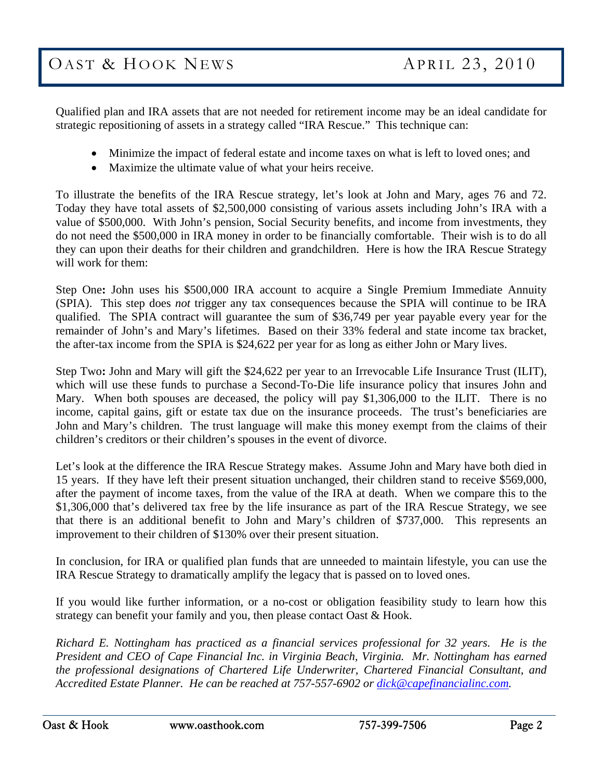Qualified plan and IRA assets that are not needed for retirement income may be an ideal candidate for strategic repositioning of assets in a strategy called "IRA Rescue." This technique can:

- Minimize the impact of federal estate and income taxes on what is left to loved ones; and
- Maximize the ultimate value of what your heirs receive.

To illustrate the benefits of the IRA Rescue strategy, let's look at John and Mary, ages 76 and 72. Today they have total assets of \$2,500,000 consisting of various assets including John's IRA with a value of \$500,000. With John's pension, Social Security benefits, and income from investments, they do not need the \$500,000 in IRA money in order to be financially comfortable. Their wish is to do all they can upon their deaths for their children and grandchildren. Here is how the IRA Rescue Strategy will work for them:

Step One**:** John uses his \$500,000 IRA account to acquire a Single Premium Immediate Annuity (SPIA). This step does *not* trigger any tax consequences because the SPIA will continue to be IRA qualified. The SPIA contract will guarantee the sum of \$36,749 per year payable every year for the remainder of John's and Mary's lifetimes. Based on their 33% federal and state income tax bracket, the after-tax income from the SPIA is \$24,622 per year for as long as either John or Mary lives.

Step Two**:** John and Mary will gift the \$24,622 per year to an Irrevocable Life Insurance Trust (ILIT), which will use these funds to purchase a Second-To-Die life insurance policy that insures John and Mary. When both spouses are deceased, the policy will pay \$1,306,000 to the ILIT. There is no income, capital gains, gift or estate tax due on the insurance proceeds. The trust's beneficiaries are John and Mary's children. The trust language will make this money exempt from the claims of their children's creditors or their children's spouses in the event of divorce.

Let's look at the difference the IRA Rescue Strategy makes. Assume John and Mary have both died in 15 years. If they have left their present situation unchanged, their children stand to receive \$569,000, after the payment of income taxes, from the value of the IRA at death. When we compare this to the \$1,306,000 that's delivered tax free by the life insurance as part of the IRA Rescue Strategy, we see that there is an additional benefit to John and Mary's children of \$737,000. This represents an improvement to their children of \$130% over their present situation.

In conclusion, for IRA or qualified plan funds that are unneeded to maintain lifestyle, you can use the IRA Rescue Strategy to dramatically amplify the legacy that is passed on to loved ones.

If you would like further information, or a no-cost or obligation feasibility study to learn how this strategy can benefit your family and you, then please contact Oast & Hook.

*Richard E. Nottingham has practiced as a financial services professional for 32 years. He is the President and CEO of Cape Financial Inc. in Virginia Beach, Virginia. Mr. Nottingham has earned the professional designations of Chartered Life Underwriter, Chartered Financial Consultant, and Accredited Estate Planner. He can be reached at 757-557-6902 or dick@capefinancialinc.com.*